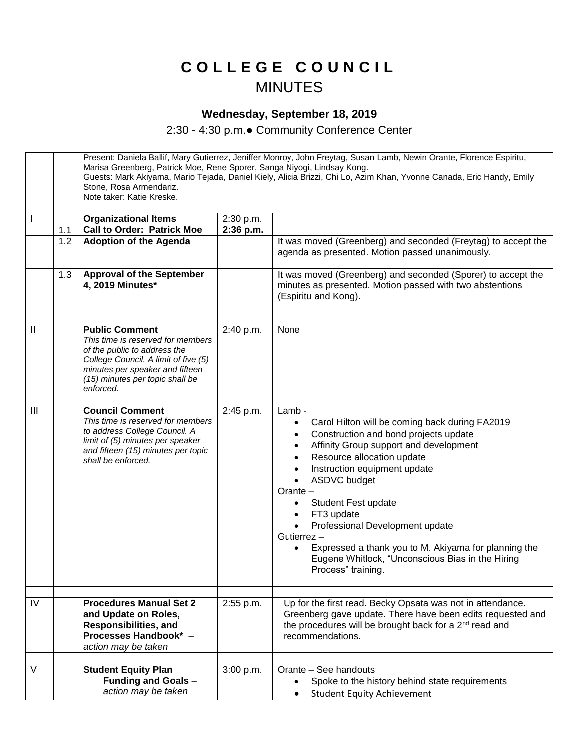## **C O L L E G E C O U N C I L** MINUTES

## **Wednesday, September 18, 2019**

2:30 - 4:30 p.m.● Community Conference Center

|              |     | Present: Daniela Ballif, Mary Gutierrez, Jeniffer Monroy, John Freytag, Susan Lamb, Newin Orante, Florence Espiritu,<br>Marisa Greenberg, Patrick Moe, Rene Sporer, Sanga Niyogi, Lindsay Kong.<br>Guests: Mark Akiyama, Mario Tejada, Daniel Kiely, Alicia Brizzi, Chi Lo, Azim Khan, Yvonne Canada, Eric Handy, Emily<br>Stone, Rosa Armendariz.<br>Note taker: Katie Kreske. |           |                                                                                                                                                                                                                                                                                                                                                                                                                                                                                                |  |
|--------------|-----|---------------------------------------------------------------------------------------------------------------------------------------------------------------------------------------------------------------------------------------------------------------------------------------------------------------------------------------------------------------------------------|-----------|------------------------------------------------------------------------------------------------------------------------------------------------------------------------------------------------------------------------------------------------------------------------------------------------------------------------------------------------------------------------------------------------------------------------------------------------------------------------------------------------|--|
|              |     | <b>Organizational Items</b>                                                                                                                                                                                                                                                                                                                                                     | 2:30 p.m. |                                                                                                                                                                                                                                                                                                                                                                                                                                                                                                |  |
|              | 1.1 | <b>Call to Order: Patrick Moe</b>                                                                                                                                                                                                                                                                                                                                               | 2:36 p.m. |                                                                                                                                                                                                                                                                                                                                                                                                                                                                                                |  |
|              | 1.2 | <b>Adoption of the Agenda</b>                                                                                                                                                                                                                                                                                                                                                   |           | It was moved (Greenberg) and seconded (Freytag) to accept the<br>agenda as presented. Motion passed unanimously.                                                                                                                                                                                                                                                                                                                                                                               |  |
|              | 1.3 | <b>Approval of the September</b><br>4, 2019 Minutes*                                                                                                                                                                                                                                                                                                                            |           | It was moved (Greenberg) and seconded (Sporer) to accept the<br>minutes as presented. Motion passed with two abstentions<br>(Espiritu and Kong).                                                                                                                                                                                                                                                                                                                                               |  |
| $\mathbf{I}$ |     | <b>Public Comment</b><br>This time is reserved for members<br>of the public to address the<br>College Council. A limit of five (5)<br>minutes per speaker and fifteen<br>(15) minutes per topic shall be<br>enforced.                                                                                                                                                           | 2:40 p.m. | None                                                                                                                                                                                                                                                                                                                                                                                                                                                                                           |  |
| III          |     | <b>Council Comment</b><br>This time is reserved for members<br>to address College Council. A<br>limit of (5) minutes per speaker<br>and fifteen (15) minutes per topic<br>shall be enforced.                                                                                                                                                                                    | 2:45 p.m. | Lamb -<br>Carol Hilton will be coming back during FA2019<br>Construction and bond projects update<br>Affinity Group support and development<br>Resource allocation update<br>Instruction equipment update<br><b>ASDVC</b> budget<br>$\bullet$<br>Orante-<br>Student Fest update<br>FT3 update<br>$\bullet$<br>Professional Development update<br>Gutierrez -<br>Expressed a thank you to M. Akiyama for planning the<br>Eugene Whitlock, "Unconscious Bias in the Hiring<br>Process" training. |  |
| IV           |     | <b>Procedures Manual Set 2</b><br>and Update on Roles,<br><b>Responsibilities, and</b><br>Processes Handbook* -<br>action may be taken                                                                                                                                                                                                                                          | 2:55 p.m. | Up for the first read. Becky Opsata was not in attendance.<br>Greenberg gave update. There have been edits requested and<br>the procedures will be brought back for a 2 <sup>nd</sup> read and<br>recommendations.                                                                                                                                                                                                                                                                             |  |
| V            |     | <b>Student Equity Plan</b><br>Funding and Goals -<br>action may be taken                                                                                                                                                                                                                                                                                                        | 3:00 p.m. | Orante - See handouts<br>Spoke to the history behind state requirements<br><b>Student Equity Achievement</b>                                                                                                                                                                                                                                                                                                                                                                                   |  |